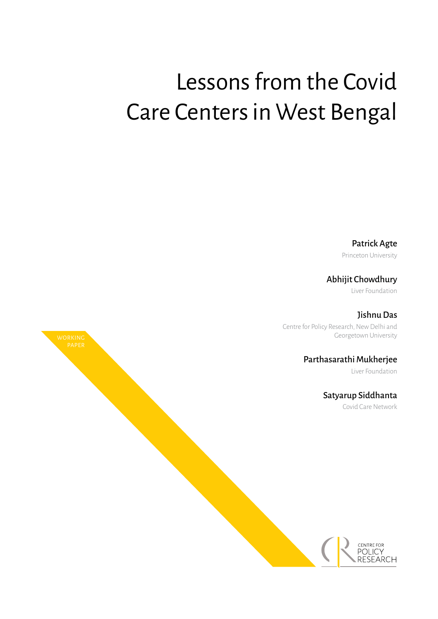# Lessons from the Covid Care Centers in West Bengal

Patrick Agte

Princeton University

Abhijit Chowdhury

Liver Foundation

Jishnu Das

Centre for Policy Research, New Delhi and Georgetown University

Parthasarathi Mukherjee

Liver Foundation

Satyarup Siddhanta

Covid Care Network

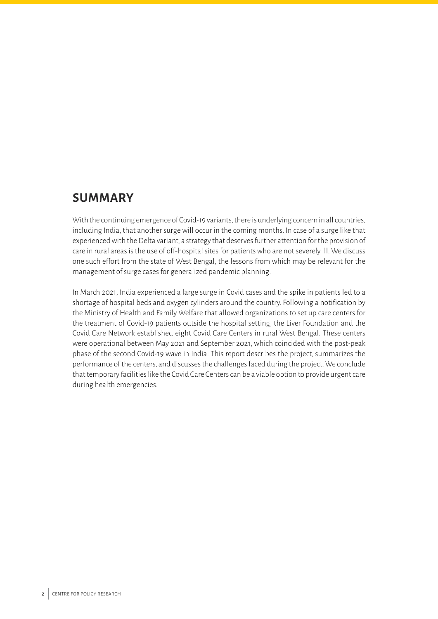## **SUMMARY**

With the continuing emergence of Covid-19 variants, there is underlying concern in all countries, including India, that another surge will occur in the coming months. In case of a surge like that experienced with the Delta variant, a strategy that deserves further attention for the provision of care in rural areas is the use of off-hospital sites for patients who are not severely ill. We discuss one such effort from the state of West Bengal, the lessons from which may be relevant for the management of surge cases for generalized pandemic planning.

In March 2021, India experienced a large surge in Covid cases and the spike in patients led to a shortage of hospital beds and oxygen cylinders around the country. Following a notification by the Ministry of Health and Family Welfare that allowed organizations to set up care centers for the treatment of Covid-19 patients outside the hospital setting, the Liver Foundation and the Covid Care Network established eight Covid Care Centers in rural West Bengal. These centers were operational between May 2021 and September 2021, which coincided with the post-peak phase of the second Covid-19 wave in India. This report describes the project, summarizes the performance of the centers, and discusses the challenges faced during the project. We conclude that temporary facilities like the Covid Care Centers can be a viable option to provide urgent care during health emergencies.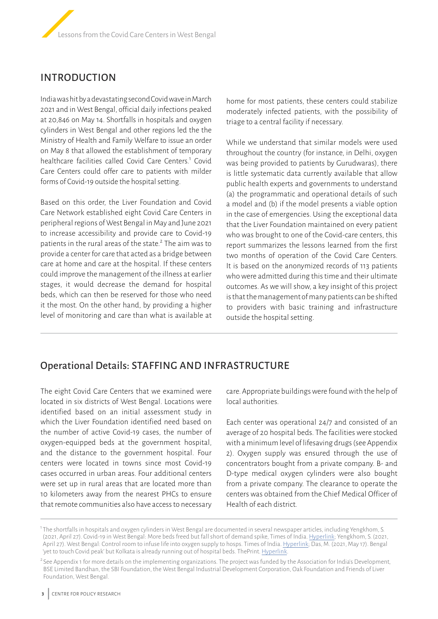## INTRODUCTION

India was hit by a devastating second Covid wave in March 2021 and in West Bengal, official daily infections peaked at 20,846 on May 14. Shortfalls in hospitals and oxygen cylinders in West Bengal and other regions led the the Ministry of Health and Family Welfare to issue an order on May 8 that allowed the establishment of temporary healthcare facilities called Covid Care Centers.<sup>1</sup> Covid Care Centers could offer care to patients with milder forms of Covid-19 outside the hospital setting.

Based on this order, the Liver Foundation and Covid Care Network established eight Covid Care Centers in peripheral regions of West Bengal in May and June 2021 to increase accessibility and provide care to Covid-19 patients in the rural areas of the state.<sup>2</sup> The aim was to provide a center for care that acted as a bridge between care at home and care at the hospital. If these centers could improve the management of the illness at earlier stages, it would decrease the demand for hospital beds, which can then be reserved for those who need it the most. On the other hand, by providing a higher level of monitoring and care than what is available at home for most patients, these centers could stabilize moderately infected patients, with the possibility of triage to a central facility if necessary.

While we understand that similar models were used throughout the country (for instance, in Delhi, oxygen was being provided to patients by Gurudwaras), there is little systematic data currently available that allow public health experts and governments to understand (a) the programmatic and operational details of such a model and (b) if the model presents a viable option in the case of emergencies. Using the exceptional data that the Liver Foundation maintained on every patient who was brought to one of the Covid-care centers, this report summarizes the lessons learned from the first two months of operation of the Covid Care Centers. It is based on the anonymized records of 113 patients who were admitted during this time and their ultimate outcomes. As we will show, a key insight of this project is that the management of many patients can be shifted to providers with basic training and infrastructure outside the hospital setting.

## Operational Details: STAFFING AND INFRASTRUCTURE

The eight Covid Care Centers that we examined were located in six districts of West Bengal. Locations were identified based on an initial assessment study in which the Liver Foundation identified need based on the number of active Covid-19 cases, the number of oxygen-equipped beds at the government hospital, and the distance to the government hospital. Four centers were located in towns since most Covid-19 cases occurred in urban areas. Four additional centers were set up in rural areas that are located more than 10 kilometers away from the nearest PHCs to ensure that remote communities also have access to necessary

care. Appropriate buildings were found with the help of local authorities.

Each center was operational 24/7 and consisted of an average of 20 hospital beds. The facilities were stocked with a minimum level of lifesaving drugs (see Appendix 2). Oxygen supply was ensured through the use of concentrators bought from a private company. B- and D-type medical oxygen cylinders were also bought from a private company. The clearance to operate the centers was obtained from the Chief Medical Officer of Health of each district.

<sup>1</sup> The shortfalls in hospitals and oxygen cylinders in West Bengal are documented in several newspaper articles, including Yengkhom, S. (2021, April 27). Covid-19 in West Bengal: More beds freed but fall short of demand spike, Times of India. [Hyperlink;](https://timesofindia.indiatimes.com/city/kolkata/more-beds-freed-but-fall-short-of-demand-spike/articleshow/82263817.cms) Yengkhom, S. (2021, April 27). West Bengal: Control room to infuse life into oxygen supply to hosps. Times of India. [Hyperlink](https://timesofindia.indiatimes.com/city/kolkata/control-room-to-infuse-life-into-oxygen-supply-to-hosps/articleshow/82263822.cms); Das, M. (2021, May 17). Bengal 'yet to touch Covid peak' but Kolkata is already running out of hospital beds. ThePrint. [Hyperlink](https://theprint.in/health/bengal-yet-to-touch-covid-peak-but-kolkata-is-already-running-out-of-hospital-beds/658594/).

<sup>&</sup>lt;sup>2</sup> See Appendix 1 for more details on the implementing organizations. The project was funded by the Association for India's Development, BSE Limited Bandhan, the SBI Foundation, the West Bengal Industrial Development Corporation, Oak Foundation and Friends of Liver Foundation, West Bengal.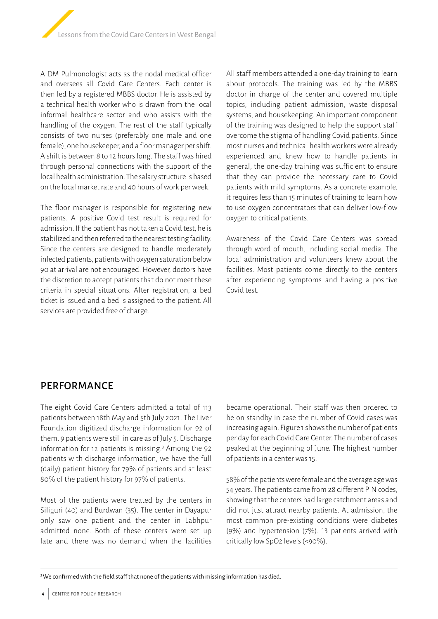

A DM Pulmonologist acts as the nodal medical officer and oversees all Covid Care Centers. Each center is then led by a registered MBBS doctor. He is assisted by a technical health worker who is drawn from the local informal healthcare sector and who assists with the handling of the oxygen. The rest of the staff typically consists of two nurses (preferably one male and one female), one housekeeper, and a floor manager per shift. A shift is between 8 to 12 hours long. The staff was hired through personal connections with the support of the local health administration. The salary structure is based on the local market rate and 40 hours of work per week.

The floor manager is responsible for registering new patients. A positive Covid test result is required for admission. If the patient has not taken a Covid test, he is stabilized and then referred to the nearest testing facility. Since the centers are designed to handle moderately infected patients, patients with oxygen saturation below 90 at arrival are not encouraged. However, doctors have the discretion to accept patients that do not meet these criteria in special situations. After registration, a bed ticket is issued and a bed is assigned to the patient. All services are provided free of charge.

All staff members attended a one-day training to learn about protocols. The training was led by the MBBS doctor in charge of the center and covered multiple topics, including patient admission, waste disposal systems, and housekeeping. An important component of the training was designed to help the support staff overcome the stigma of handling Covid patients. Since most nurses and technical health workers were already experienced and knew how to handle patients in general, the one-day training was sufficient to ensure that they can provide the necessary care to Covid patients with mild symptoms. As a concrete example, it requires less than 15 minutes of training to learn how to use oxygen concentrators that can deliver low-flow oxygen to critical patients.

Awareness of the Covid Care Centers was spread through word of mouth, including social media. The local administration and volunteers knew about the facilities. Most patients come directly to the centers after experiencing symptoms and having a positive Covid test.

## PERFORMANCE

The eight Covid Care Centers admitted a total of 113 patients between 18th May and 5th July 2021. The Liver Foundation digitized discharge information for 92 of them. 9 patients were still in care as of July 5. Discharge information for 12 patients is missing.<sup>3</sup> Among the 92 patients with discharge information, we have the full (daily) patient history for 79% of patients and at least 80% of the patient history for 97% of patients.

Most of the patients were treated by the centers in Siliguri (40) and Burdwan (35). The center in Dayapur only saw one patient and the center in Labhpur admitted none. Both of these centers were set up late and there was no demand when the facilities

became operational. Their staff was then ordered to be on standby in case the number of Covid cases was increasing again. Figure 1 shows the number of patients per day for each Covid Care Center. The number of cases peaked at the beginning of June. The highest number of patients in a center was 15.

58% of the patients were female and the average age was 54 years. The patients came from 28 different PIN codes, showing that the centers had large catchment areas and did not just attract nearby patients. At admission, the most common pre-existing conditions were diabetes (9%) and hypertension (7%). 13 patients arrived with critically low SpO2 levels (<90%).

 $3$ We confirmed with the field staff that none of the patients with missing information has died.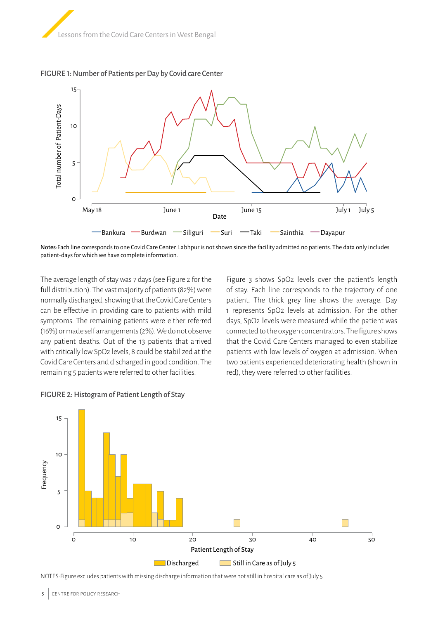





Notes:Each line corresponds to one Covid Care Center. Labhpur is not shown since the facility admitted no patients. The data only includes patient-days for which we have complete information.

The average length of stay was 7 days (see Figure 2 for the full distribution). The vast majority of patients (82%) were normally discharged, showing that the Covid Care Centers can be effective in providing care to patients with mild symptoms. The remaining patients were either referred (16%) or made self arrangements (2%). We do not observe any patient deaths. Out of the 13 patients that arrived with critically low SpO2 levels, 8 could be stabilized at the Covid Care Centers and discharged in good condition. The remaining 5 patients were referred to other facilities.

Figure 3 shows SpO2 levels over the patient's length of stay. Each line corresponds to the trajectory of one patient. The thick grey line shows the average. Day 1 represents SpO2 levels at admission. For the other days, SpO2 levels were measured while the patient was connected to the oxygen concentrators. The figure shows that the Covid Care Centers managed to even stabilize patients with low levels of oxygen at admission. When two patients experienced deteriorating health (shown in red), they were referred to other facilities.



#### FIGURE 2: Histogram of Patient Length of Stay

NOTES:Figure excludes patients with missing discharge information that were not still in hospital care as of July 5.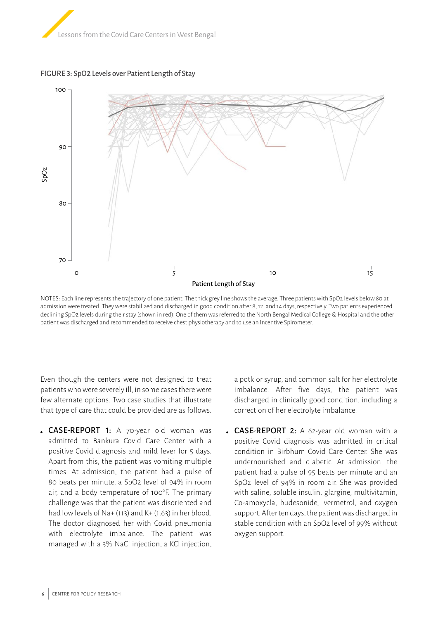





NOTES: Each line represents the trajectory of one patient. The thick grey line shows the average. Three patients with SpO2 levels below 80 at admission were treated. They were stabilized and discharged in good condition after 8, 12, and 14 days, respectively. Two patients experienced declining SpO2 levels during their stay (shown in red). One of them was referred to the North Bengal Medical College & Hospital and the other patient was discharged and recommended to receive chest physiotherapy and to use an Incentive Spirometer.

Even though the centers were not designed to treat patients who were severely ill, in some cases there were few alternate options. Two case studies that illustrate that type of care that could be provided are as follows.

CASE-REPORT 1: A 70-year old woman was admitted to Bankura Covid Care Center with a positive Covid diagnosis and mild fever for 5 days. Apart from this, the patient was vomiting multiple times. At admission, the patient had a pulse of 80 beats per minute, a SpO2 level of 94% in room air, and a body temperature of 100°F. The primary challenge was that the patient was disoriented and had low levels of Na+ (113) and K+ (1.63) in her blood. The doctor diagnosed her with Covid pneumonia with electrolyte imbalance. The patient was managed with a 3% NaCl injection, a KCl injection,

a potklor syrup, and common salt for her electrolyte imbalance. After five days, the patient was discharged in clinically good condition, including a correction of her electrolyte imbalance.

• **CASE-REPORT 2:** A 62-year old woman with a positive Covid diagnosis was admitted in critical condition in Birbhum Covid Care Center. She was undernourished and diabetic. At admission, the patient had a pulse of 95 beats per minute and an SpO2 level of 94% in room air. She was provided with saline, soluble insulin, glargine, multivitamin, Co-amoxycla, budesonide, Ivermetrol, and oxygen support. After ten days, the patient was discharged in stable condition with an SpO2 level of 99% without oxygen support.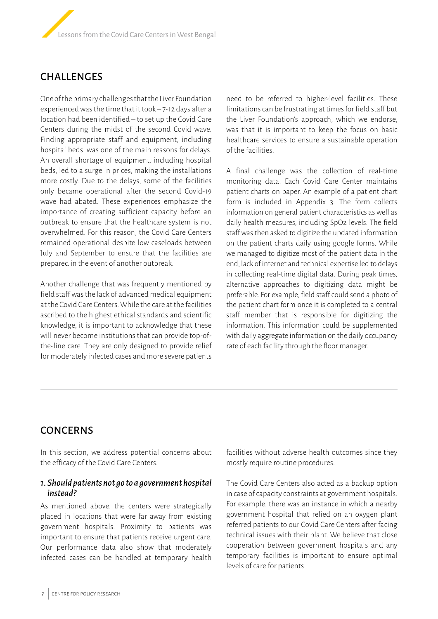

## CHALLENGES

One of the primary challenges that the Liver Foundation experienced was the time that it took – 7-12 days after a location had been identified – to set up the Covid Care Centers during the midst of the second Covid wave. Finding appropriate staff and equipment, including hospital beds, was one of the main reasons for delays. An overall shortage of equipment, including hospital beds, led to a surge in prices, making the installations more costly. Due to the delays, some of the facilities only became operational after the second Covid-19 wave had abated. These experiences emphasize the importance of creating sufficient capacity before an outbreak to ensure that the healthcare system is not overwhelmed. For this reason, the Covid Care Centers remained operational despite low caseloads between July and September to ensure that the facilities are prepared in the event of another outbreak.

Another challenge that was frequently mentioned by field staff was the lack of advanced medical equipment at the Covid Care Centers. While the care at the facilities ascribed to the highest ethical standards and scientific knowledge, it is important to acknowledge that these will never become institutions that can provide top-ofthe-line care. They are only designed to provide relief for moderately infected cases and more severe patients

need to be referred to higher-level facilities. These limitations can be frustrating at times for field staff but the Liver Foundation's approach, which we endorse, was that it is important to keep the focus on basic healthcare services to ensure a sustainable operation of the facilities.

A final challenge was the collection of real-time monitoring data. Each Covid Care Center maintains patient charts on paper. An example of a patient chart form is included in Appendix 3. The form collects information on general patient characteristics as well as daily health measures, including SpO2 levels. The field staff was then asked to digitize the updated information on the patient charts daily using google forms. While we managed to digitize most of the patient data in the end, lack of internet and technical expertise led to delays in collecting real-time digital data. During peak times, alternative approaches to digitizing data might be preferable. For example, field staff could send a photo of the patient chart form once it is completed to a central staff member that is responsible for digitizing the information. This information could be supplemented with daily aggregate information on the daily occupancy rate of each facility through the floor manager.

## **CONCERNS**

In this section, we address potential concerns about the efficacy of the Covid Care Centers.

#### *1. Should patients not go to a government hospital instead?*

As mentioned above, the centers were strategically placed in locations that were far away from existing government hospitals. Proximity to patients was important to ensure that patients receive urgent care. Our performance data also show that moderately infected cases can be handled at temporary health

facilities without adverse health outcomes since they mostly require routine procedures.

The Covid Care Centers also acted as a backup option in case of capacity constraints at government hospitals. For example, there was an instance in which a nearby government hospital that relied on an oxygen plant referred patients to our Covid Care Centers after facing technical issues with their plant. We believe that close cooperation between government hospitals and any temporary facilities is important to ensure optimal levels of care for patients.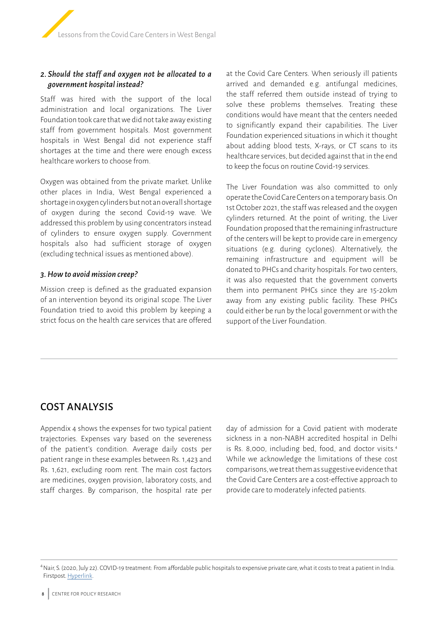#### *2. Should the staff and oxygen not be allocated to a government hospital instead?*

Staff was hired with the support of the local administration and local organizations. The Liver Foundation took care that we did not take away existing staff from government hospitals. Most government hospitals in West Bengal did not experience staff shortages at the time and there were enough excess healthcare workers to choose from.

Oxygen was obtained from the private market. Unlike other places in India, West Bengal experienced a shortage in oxygen cylinders but not an overall shortage of oxygen during the second Covid-19 wave. We addressed this problem by using concentrators instead of cylinders to ensure oxygen supply. Government hospitals also had sufficient storage of oxygen (excluding technical issues as mentioned above).

#### *3. How to avoid mission creep?*

Mission creep is defined as the graduated expansion of an intervention beyond its original scope. The Liver Foundation tried to avoid this problem by keeping a strict focus on the health care services that are offered

at the Covid Care Centers. When seriously ill patients arrived and demanded e.g. antifungal medicines, the staff referred them outside instead of trying to solve these problems themselves. Treating these conditions would have meant that the centers needed to significantly expand their capabilities. The Liver Foundation experienced situations in which it thought about adding blood tests, X-rays, or CT scans to its healthcare services, but decided against that in the end to keep the focus on routine Covid-19 services.

The Liver Foundation was also committed to only operate the Covid Care Centers on a temporary basis. On 1st October 2021, the staff was released and the oxygen cylinders returned. At the point of writing, the Liver Foundation proposed that the remaining infrastructure of the centers will be kept to provide care in emergency situations (e.g. during cyclones). Alternatively, the remaining infrastructure and equipment will be donated to PHCs and charity hospitals. For two centers, it was also requested that the government converts them into permanent PHCs since they are 15-20km away from any existing public facility. These PHCs could either be run by the local government or with the support of the Liver Foundation.

## COST ANALYSIS

Appendix 4 shows the expenses for two typical patient trajectories. Expenses vary based on the severeness of the patient's condition. Average daily costs per patient range in these examples between Rs. 1,423 and Rs. 1,621, excluding room rent. The main cost factors are medicines, oxygen provision, laboratory costs, and staff charges. By comparison, the hospital rate per day of admission for a Covid patient with moderate sickness in a non-NABH accredited hospital in Delhi is Rs. 8,000, including bed, food, and doctor visits.4 While we acknowledge the limitations of these cost comparisons, we treat them as suggestive evidence that the Covid Care Centers are a cost-effective approach to provide care to moderately infected patients.

<sup>4</sup>Nair, S. (2020, July 22). COVID-19 treatment: From affordable public hospitals to expensive private care, what it costs to treat a patient in India. Firstpost. [Hyperlink](https://www.firstpost.com/health/covid-19-treatment-from-affordable-public-hospitals-to-expensive-private-care-what-it-costs-to-treat-a-patient-in-india-8623421.html).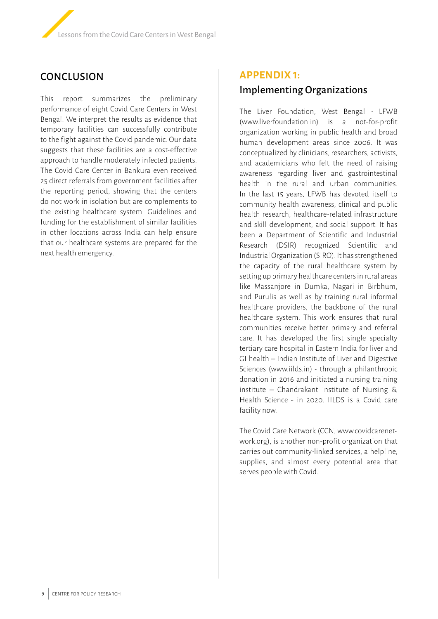## **CONCLUSION**

This report summarizes the preliminary performance of eight Covid Care Centers in West Bengal. We interpret the results as evidence that temporary facilities can successfully contribute to the fight against the Covid pandemic. Our data suggests that these facilities are a cost-effective approach to handle moderately infected patients. The Covid Care Center in Bankura even received 25 direct referrals from government facilities after the reporting period, showing that the centers do not work in isolation but are complements to the existing healthcare system. Guidelines and funding for the establishment of similar facilities in other locations across India can help ensure that our healthcare systems are prepared for the next health emergency.

# **APPENDIX 1:**  Implementing Organizations

The Liver Foundation, West Bengal - LFWB (www.liverfoundation.in) is a not-for-profit organization working in public health and broad human development areas since 2006. It was conceptualized by clinicians, researchers, activists, and academicians who felt the need of raising awareness regarding liver and gastrointestinal health in the rural and urban communities. In the last 15 years, LFWB has devoted itself to community health awareness, clinical and public health research, healthcare-related infrastructure and skill development, and social support. It has been a Department of Scientific and Industrial Research (DSIR) recognized Scientific and Industrial Organization (SIRO). It has strengthened the capacity of the rural healthcare system by setting up primary healthcare centers in rural areas like Massanjore in Dumka, Nagari in Birbhum, and Purulia as well as by training rural informal healthcare providers, the backbone of the rural healthcare system. This work ensures that rural communities receive better primary and referral care. It has developed the first single specialty tertiary care hospital in Eastern India for liver and GI health – Indian Institute of Liver and Digestive Sciences (www.iilds.in) - through a philanthropic donation in 2016 and initiated a nursing training institute – Chandrakant Institute of Nursing & Health Science - in 2020. IILDS is a Covid care facility now.

The Covid Care Network (CCN, www.covidcarenetwork.org), is another non-profit organization that carries out community-linked services, a helpline, supplies, and almost every potential area that serves people with Covid.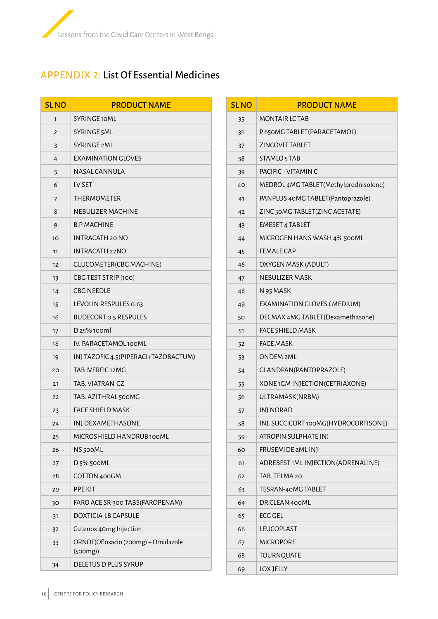

# APPENDIX 2: List Of Essential Medicines

| <b>SLNO</b>    | <b>PRODUCT NAME</b>                             |
|----------------|-------------------------------------------------|
| 1              | SYRINGE10ML                                     |
| 2              | SYRINGE 5ML                                     |
| 3              | <b>SYRINGE 2ML</b>                              |
| $\overline{4}$ | EXAMINATION GLOVES                              |
| 5              | NASAL CANNULA                                   |
| 6              | <b>I.V SET</b>                                  |
| 7              | <b>THERMOMETER</b>                              |
| 8              | NEBULIZER MACHINE                               |
| 9              | <b>B.P MACHINE</b>                              |
| 10             | INTRACATH 20 NO                                 |
| 11             | <b>INTRACATH 22NO</b>                           |
| 12             | <b>GLUCOMETER(CBG MACHINE)</b>                  |
| 13             | CBG TEST STRIP (100)                            |
| 14             | <b>CBC NEEDLE</b>                               |
| 15             | LEVOLIN RESPULES 0.63                           |
| 16             | <b>BUDECORT 0.5 RESPULES</b>                    |
| 17             | D 25% 100ml                                     |
| 18             | IV. PARACETAMOL 100ML                           |
| 19             | INJ TAZOFIC 4.5(PIPERACI+TAZOBACTUM)            |
| 20             | TAB IVERFIC 12MG                                |
| 21             | TAB. VIATRAN-CZ                                 |
| 22             | TAB. AZITHRAL 500MG                             |
| 23             | <b>FACE SHIELD MASK</b>                         |
| 24             | INJ DEXAMETHASONE                               |
| 25             | MICROSHIELD HANDRUB 100ML                       |
| 26             | NS 500ML                                        |
| 27             | D 5% 500ML                                      |
| 28             | COTTON 400GM                                    |
| 29             | PPE KIT                                         |
| 30             | FARO ACE SR-300 TABS (FAROPENAM)                |
| 31             | DOXTICIA-LB CAPSULE                             |
| 32             | Cutenox 40mg Injection                          |
| 33             | ORNOF(Ofloxacin (200mg) + Ornidazole<br>(500mg) |
| 34             | DELETUS D PLUS SYRUP                            |

| <b>SLNO</b> | <b>PRODUCT NAME</b>                    |
|-------------|----------------------------------------|
| 35          | MONTAIR LC TAB                         |
| 36          | P 650MG TABLET (PARACETAMOL)           |
| 37          | <b>ZINCOVIT TABLET</b>                 |
| 38          | STAMLO <sub>5</sub> TAB                |
| 39          | PACIFIC - VITAMIN C                    |
| 40          | MEDROL 4MG TABLET (Methylprednisolone) |
| 41          | PANPLUS 40MG TABLET (Pantoprazole)     |
| 42          | ZINC 50MG TABLET (ZINC ACETATE)        |
| 43          | <b>EMESET 4 TABLET</b>                 |
| 44          | MICROGEN HANS WASH 4% 500ML            |
| 45          | <b>FEMALE CAP</b>                      |
| 46          | OXYGEN MASK (ADULT)                    |
| 47          | <b>NEBULIZER MASK</b>                  |
| 48          | N 95 MASK                              |
| 49          | EXAMINATION GLOVES (MEDIUM)            |
| 50          | DECMAX 4MG TABLET (Dexamethasone)      |
| 51          | FACE SHIELD MASK                       |
| 52          | <b>FACE MASK</b>                       |
| 53          | <b>ONDEM 2ML</b>                       |
| 54          | GLANDPAN(PANTOPRAZOLE)                 |
| 55          | XONE 1GM INJECTION (CETRIAXONE)        |
| 56          | ULTRAMASK(NRBM)                        |
| 57          | INJ NORAD                              |
| 58          | INJ. SUCCICORT 100MG(HYDROCORTISONE)   |
| 59          | ATROPIN SULPHATE INJ                   |
| 60          | FRUSEMIDE 2ML INJ                      |
| 61          | ADREBEST 1ML INJECTION (ADRENALINE)    |
| 62          | TAB. TELMA 20                          |
| 63          | TESRAN-40MG TABLET                     |
| 64          | DR.CLEAN 400ML                         |
| 65          | <b>ECG GEL</b>                         |
| 66          | LEUCOPLAST                             |
| 67          | MICROPORE                              |
| 68          | <b>TOURNQUATE</b>                      |
| 69          | LOX JELLY                              |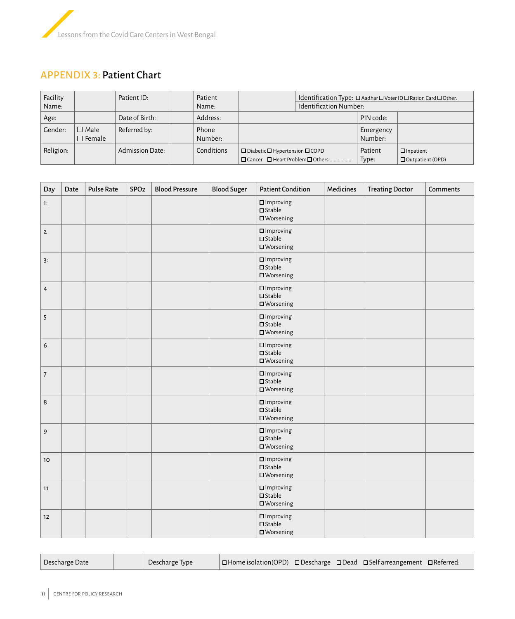

## APPENDIX 3: Patient Chart

| Facility<br>Name: |                                 | Patient ID:            | Patient<br>Name: |                                                                                                | Identification Type: □ Aadhar □ Voter ID □ Ration Card □ Other:<br>Identification Number: |                      |                                             |
|-------------------|---------------------------------|------------------------|------------------|------------------------------------------------------------------------------------------------|-------------------------------------------------------------------------------------------|----------------------|---------------------------------------------|
| Age:              |                                 | Date of Birth:         | Address:         |                                                                                                |                                                                                           | PIN code:            |                                             |
| Gender:           | $\Box$ Male<br>$\square$ Female | Referred by:           | Phone<br>Number: |                                                                                                |                                                                                           | Emergency<br>Number: |                                             |
| Religion:         |                                 | <b>Admission Date:</b> | Conditions       | $\square$ Diabetic $\square$ Hypertension $\square$ COPD<br>□ Cancer □ Heart Problem □ Others: |                                                                                           | Patient<br>Type:     | $\Box$ Inpatient<br>$\Box$ Outpatient (OPD) |

| Day              | Date | Pulse Rate | SPO <sub>2</sub> | <b>Blood Pressure</b> | <b>Blood Suger</b> | <b>Patient Condition</b>                                       | Medicines | <b>Treating Doctor</b> | <b>Comments</b> |
|------------------|------|------------|------------------|-----------------------|--------------------|----------------------------------------------------------------|-----------|------------------------|-----------------|
| 1:               |      |            |                  |                       |                    | $\square$ Improving<br>$\square$ Stable<br>$\square$ Worsening |           |                        |                 |
| $\mathbf 2$      |      |            |                  |                       |                    | $\square$ Improving<br>$\square$ Stable<br>$\square$ Worsening |           |                        |                 |
| 3:               |      |            |                  |                       |                    | $\square$ Improving<br>$\square$ Stable<br>$\square$ Worsening |           |                        |                 |
| $\overline{4}$   |      |            |                  |                       |                    | $\square$ Improving<br>$\square$ Stable<br>$\square$ Worsening |           |                        |                 |
| 5                |      |            |                  |                       |                    | $\square$ Improving<br>$\square$ Stable<br>$\square$ Worsening |           |                        |                 |
| $\boldsymbol{6}$ |      |            |                  |                       |                    | $\square$ Improving<br>$\square$ Stable<br>$\square$ Worsening |           |                        |                 |
| $\boldsymbol{7}$ |      |            |                  |                       |                    | $\square$ Improving<br>$\square$ Stable<br>$\square$ Worsening |           |                        |                 |
| $\,8\,$          |      |            |                  |                       |                    | $\square$ Improving<br>$\square$ Stable<br>$\square$ Worsening |           |                        |                 |
| 9                |      |            |                  |                       |                    | $\square$ Improving<br>$\square$ Stable<br>$\square$ Worsening |           |                        |                 |
| 10 <sup>°</sup>  |      |            |                  |                       |                    | $\square$ Improving<br>$\square$ Stable<br>$\square$ Worsening |           |                        |                 |
| 11               |      |            |                  |                       |                    | $\square$ Improving<br>$\square$ Stable<br>$\square$ Worsening |           |                        |                 |
| 12               |      |            |                  |                       |                    | $\square$ Improving<br>$\square$ Stable<br>$\square$ Worsening |           |                        |                 |

| Descharge Date |  | Descharge Type | □ Home isolation(OPD) □ Descharge □ Dead □ Self arreangement □ Referred: |  |  |  |  |  |
|----------------|--|----------------|--------------------------------------------------------------------------|--|--|--|--|--|
|----------------|--|----------------|--------------------------------------------------------------------------|--|--|--|--|--|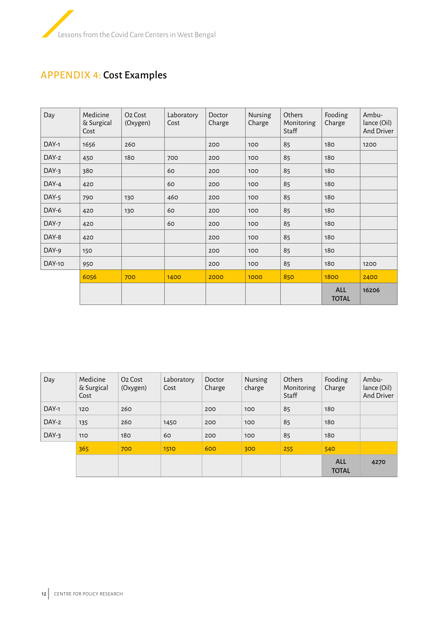

# APPENDIX 4: Cost Examples

| Day    | Medicine<br>& Surgical<br>Cost | O <sub>2</sub> Cost<br>(Oxygen) | Laboratory<br>Cost | Doctor<br>Charge | Nursing<br>Charge | Others<br>Monitoring<br>Staff | Fooding<br>Charge          | Ambu-<br>lance (Oil)<br>And Driver |
|--------|--------------------------------|---------------------------------|--------------------|------------------|-------------------|-------------------------------|----------------------------|------------------------------------|
| DAY-1  | 1656                           | 260                             |                    | 200              | 100               | 85                            | 180                        | 1200                               |
| DAY-2  | 450                            | 180                             | 700                | 200              | 100               | 85                            | 180                        |                                    |
| DAY-3  | 380                            |                                 | 60                 | 200              | 100               | 85                            | 180                        |                                    |
| DAY-4  | 420                            |                                 | 60                 | 200              | 100               | 85                            | 180                        |                                    |
| DAY-5  | 790                            | 130                             | 460                | 200              | 100               | 85                            | 180                        |                                    |
| DAY-6  | 420                            | 130                             | 60                 | 200              | 100               | 85                            | 180                        |                                    |
| DAY-7  | 420                            |                                 | 60                 | 200              | 100               | 85                            | 180                        |                                    |
| DAY-8  | 420                            |                                 |                    | 200              | 100               | 85                            | 180                        |                                    |
| DAY-9  | 150                            |                                 |                    | 200              | 100               | 85                            | 180                        |                                    |
| DAY-10 | 950                            |                                 |                    | 200              | 100               | 85                            | 180                        | 1200                               |
|        | 6056                           | 700                             | 1400               | 2000             | 1000              | 850                           | 1800                       | 2400                               |
|        |                                |                                 |                    |                  |                   |                               | <b>ALL</b><br><b>TOTAL</b> | 16206                              |

| Day   | Medicine<br>& Surgical<br>Cost | O <sub>2</sub> Cost<br>(Oxygen) | Laboratory<br>Cost | Doctor<br>Charge | <b>Nursing</b><br>charge | Others<br>Monitoring<br>Staff | Fooding<br>Charge          | Ambu-<br>lance (Oil)<br>And Driver |
|-------|--------------------------------|---------------------------------|--------------------|------------------|--------------------------|-------------------------------|----------------------------|------------------------------------|
| DAY-1 | 120                            | 260                             |                    | 200              | 100                      | 85                            | 180                        |                                    |
| DAY-2 | 135                            | 260                             | 1450               | 200              | 100                      | 85                            | 180                        |                                    |
| DAY-3 | 110                            | 180                             | 60                 | 200              | 100                      | 85                            | 180                        |                                    |
|       | 365                            | 700                             | 1510               | 600              | 300                      | 255                           | 540                        |                                    |
|       |                                |                                 |                    |                  |                          |                               | <b>ALL</b><br><b>TOTAL</b> | 4270                               |